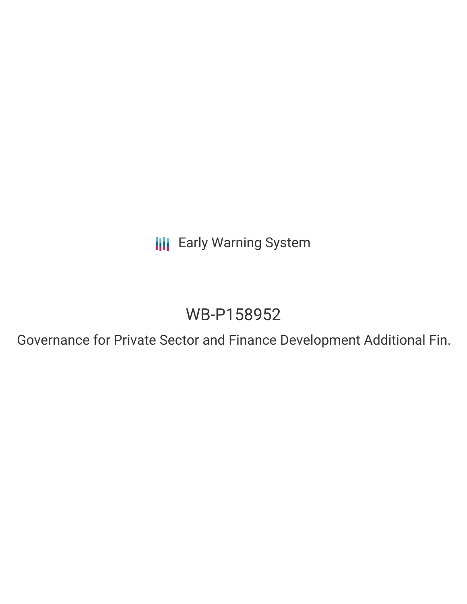**III** Early Warning System

# WB-P158952

Governance for Private Sector and Finance Development Additional Fin.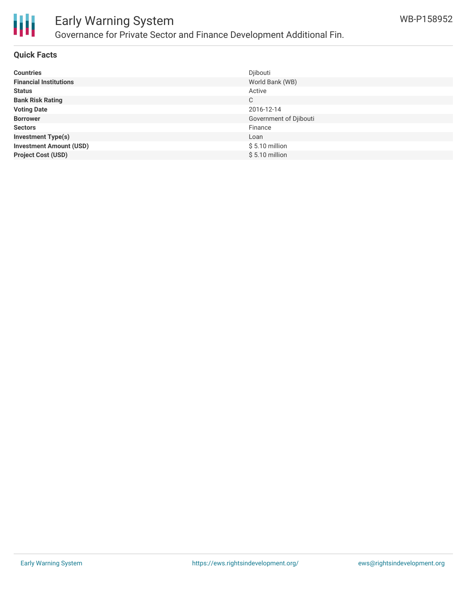

### Early Warning System Governance for Private Sector and Finance Development Additional Fin.

#### **Quick Facts**

| <b>Countries</b>               | Djibouti               |
|--------------------------------|------------------------|
| <b>Financial Institutions</b>  | World Bank (WB)        |
| <b>Status</b>                  | Active                 |
| <b>Bank Risk Rating</b>        | С                      |
| <b>Voting Date</b>             | 2016-12-14             |
| <b>Borrower</b>                | Government of Djibouti |
| <b>Sectors</b>                 | Finance                |
| <b>Investment Type(s)</b>      | Loan                   |
| <b>Investment Amount (USD)</b> | $$5.10$ million        |
| <b>Project Cost (USD)</b>      | $$5.10$ million        |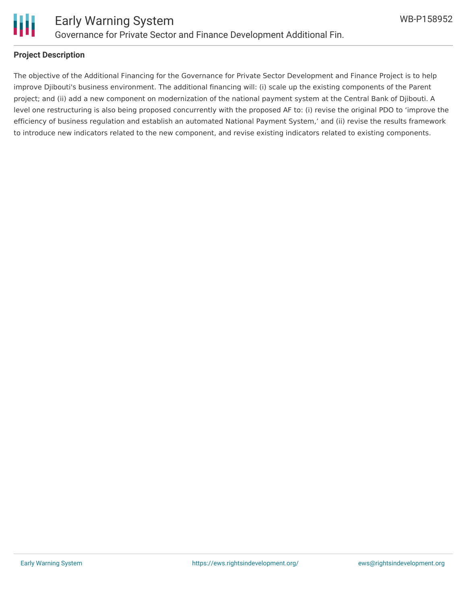

### Early Warning System Governance for Private Sector and Finance Development Additional Fin.

#### **Project Description**

The objective of the Additional Financing for the Governance for Private Sector Development and Finance Project is to help improve Djibouti's business environment. The additional financing will: (i) scale up the existing components of the Parent project; and (ii) add a new component on modernization of the national payment system at the Central Bank of Djibouti. A level one restructuring is also being proposed concurrently with the proposed AF to: (i) revise the original PDO to 'improve the efficiency of business regulation and establish an automated National Payment System,' and (ii) revise the results framework to introduce new indicators related to the new component, and revise existing indicators related to existing components.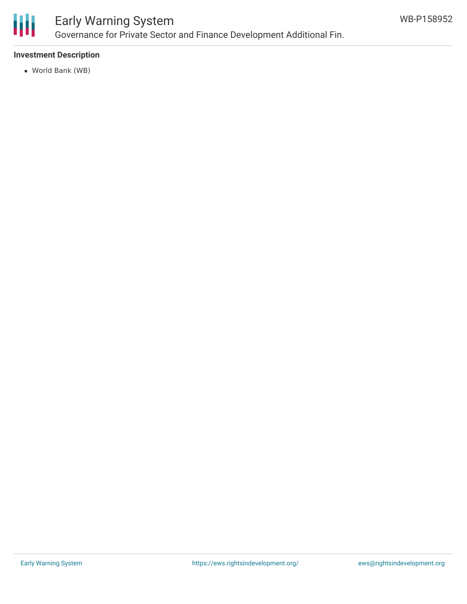

# Early Warning System

Governance for Private Sector and Finance Development Additional Fin.

#### **Investment Description**

World Bank (WB)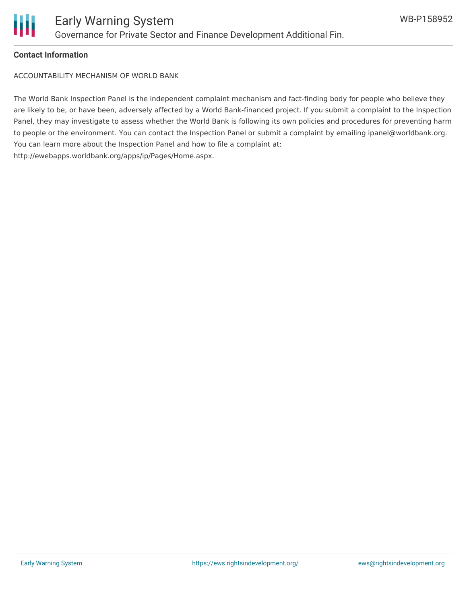

#### **Contact Information**

ACCOUNTABILITY MECHANISM OF WORLD BANK

The World Bank Inspection Panel is the independent complaint mechanism and fact-finding body for people who believe they are likely to be, or have been, adversely affected by a World Bank-financed project. If you submit a complaint to the Inspection Panel, they may investigate to assess whether the World Bank is following its own policies and procedures for preventing harm to people or the environment. You can contact the Inspection Panel or submit a complaint by emailing ipanel@worldbank.org. You can learn more about the Inspection Panel and how to file a complaint at: http://ewebapps.worldbank.org/apps/ip/Pages/Home.aspx.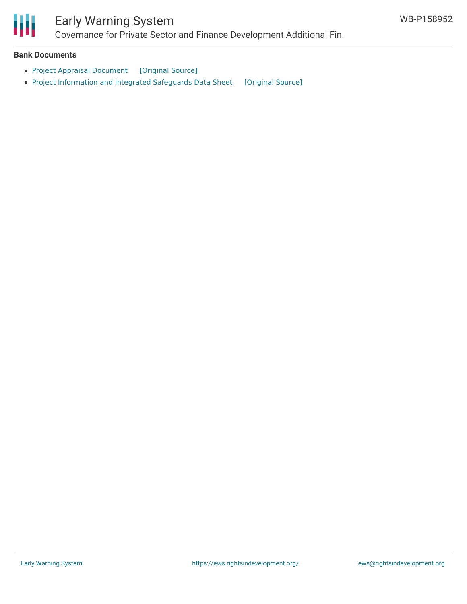

## Early Warning System

Governance for Private Sector and Finance Development Additional Fin.

#### **Bank Documents**

- Project Appraisal [Document](https://ewsdata.rightsindevelopment.org/files/documents/52/WB-P158952.pdf) [\[Original](http://documents.worldbank.org/curated/en/579371481943653146/pdf/1481943649019-000A10458-Djibouti-AFProject-Paper-Final-SEC-11232016.pdf) Source]
- Project [Information](https://ewsdata.rightsindevelopment.org/files/documents/52/WB-P158952_EVeOnyP.pdf) and Integrated Safeguards Data Sheet [\[Original](http://documents.worldbank.org/curated/en/149421478543884812/pdf/PIDISDSA20068-PSDS-ARABIC-P158952.pdf) Source]